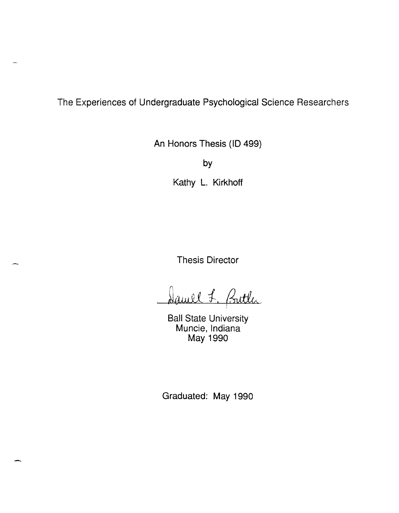The Experiences of Undergraduate Psychological Science Researchers

An Honors Thesis (ID 499)

by

Kathy L. Kirkhoff

Thesis Director

Damel J. Butter

Ball State University Muncie, Indiana May 1990

Graduated: May 1990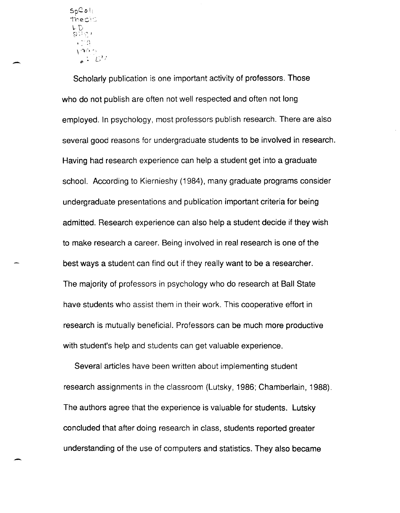${\sf SpC}$ alii  $\mathop{\sf The}\nolimits$ s is  $\mathbb C$  $\cdot$  7.  $\alpha$  $100$  $\mathcal{L} = \mathcal{L}^{ij}$ 

Scholarly publication is one important activity of professors. Those who do not publish are often not well respected and often not long employed. In psychology, most professors publish research. There are also several good reasons for undergraduate students to be involved in research. Having had research experience can help a student get into a graduate school. According to Kiernieshy (1984), many graduate programs consider undergraduate presentations and publication important criteria for being admitted. Research experience can also help a student decide if they wish to make research a career. Being involved in real research is one of the best ways a student can find out if they really want to be a researcher. The majority of professors in psychology who do research at Ball State have students who assist them in their work. This cooperative effort in research is mutually beneficial. Professors can be much more productive with student's help and students can get valuable experience.

Several articles have been written about implementing student research assignments in the classroom (Lutsky, 1986; Chamberlain, 1988). The authors agree that the experience is valuable for students. Lutsky concluded that after doing research in class, students reported greater understanding of the use of computers and statistics. They also became

-

-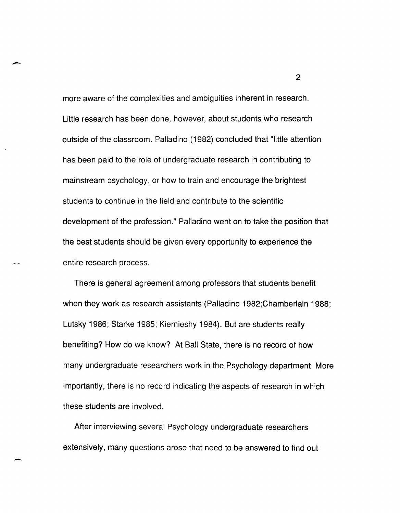more aware of the complexities and ambiguities inherent in research. Little research has been done, however, about students who research outside of the classroom. Palladino (1982) concluded that "little attention has been paid to the role of undergraduate research in contributing to mainstream psychology, or how to train and encourage the brightest students to continue in the field and contribute to the scientific development of the profession." Palladino went on to take the position that the best students should be given every opportunity to experience the entire research process.

-

-

There is general agreement among professors that students benefit when they work as research assistants (Palladino 1982;Chamberlain 1988; Lutsky 1986; Starke 1985; Kiernieshy 1984). But are students really benefiting? How do we know? At Ball State, there is no record of how many undergraduate researchers work in the Psychology department. More importantly, there is no record indicating the aspects of research in which these students are involved.

After interviewing several Psychology undergraduate researchers extensively, many questions arose that need to be answered to find out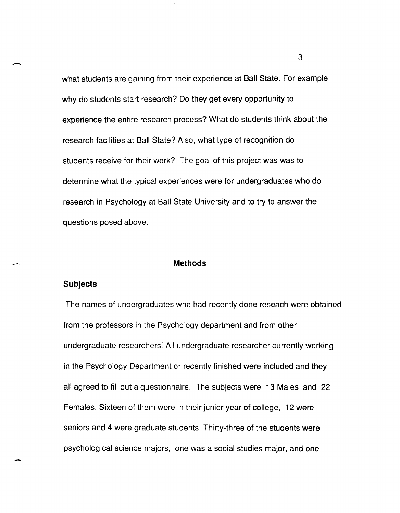what students are gaining from their experience at Ball State. For example, why do students start research? Do they get every opportunity to experience the entire research process? What do students think about the research facilities at Ball State? Also, what type of recognition do students receive for their work? The goal of this project was was to determine what the typical experiences were for undergraduates who do research in Psychology at Ball State University and to try to answer the questions posed above.

#### **Methods**

### **Subjects**

The names of undergraduates who had recently done reseach were obtained from the professors in the Psychology department and from other undergraduate researchers: All undergraduate researcher currently working in the Psychology Department or recently finished were included and they all agreed to fill out a questionnaire. The subjects were 13 Males and 22 Females. Sixteen of them were in their junior year of college, 12 were seniors and 4 were graduate students. Thirty-three of the students were psychological science majors, one was a social studies major, and one

 $\sim$  3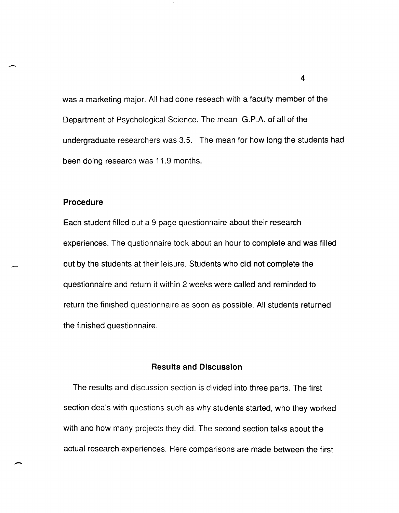was a marketing major. All had done reseach with a faculty member of the Department of Psychological Science. The mean G.P .A. of all of the undergraduate researchers was 3.5. The mean for how long the students had been doing research was 11.9 months.

## **Procedure**

--

Each student filled out a 9 page questionnaire about their research experiences. The qustionnaire took about an hour to complete and was filled out by the students at their leisure. Students who did not complete the questionnaire and return it within 2 weeks were called and reminded to return the finished questionnaire as soon as possible. All students returned the finished questionnaire.

# **Results and Discussion**

The results and discussion section is divided into three parts. The first section deals with questions such as why students started, who they worked with and how many projects they did. The second section talks about the actual research experiences. Here comparisons are made between the first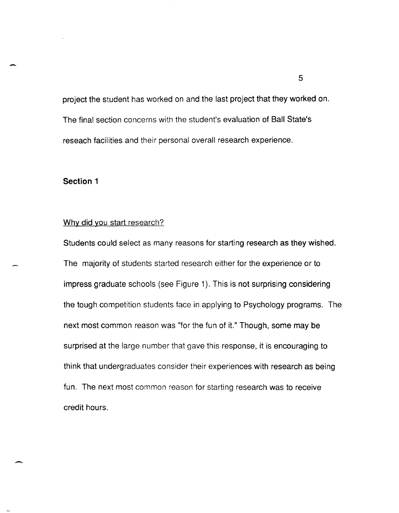project the student has worked on and the last project that they worked on. The final section concerns with the student's evaluation of Ball State's reseach facilities and their personal overall research experience.

# **Section 1**

-

### Why did you start research?

Students could select as many reasons for starting research as they wished. The majority of students started research either for the experience or to impress graduate schools (see Figure 1). This is not surprising considering the tough competition students face in applying to Psychology programs. The next most common reason was "for the fun of it." Though, some may be surprised at the large number that gave this response, it is encouraging to think that undergraduates consider their experiences with research as being fun. The next most common reason for starting research was to receive credit hours.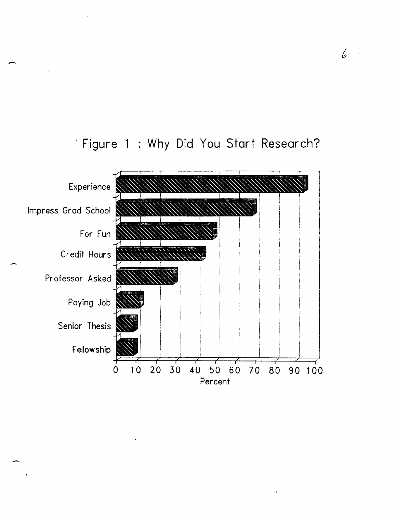

-

# · Figure 1 . Why Did You Start Research?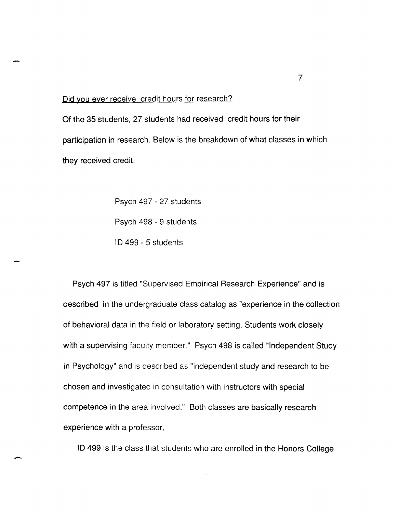#### Did you ever receive credit hours for research?

Of the 35 students, 27 students had received credit hours for their participation in research. Below is the breakdown of what classes in which they received credit.

> Psych 497 - 27 students Psych 498 - 9 students ID 499 - 5 students

-

Psych 497 is titled "Supervised Empirical Research Experience" and is described in the undergraduate class catalog as "experience in the collection of behavioral data in the field or laboratory setting. Students work closely with a supervising faculty member." Psych 498 is called "Independent Study in Psychology" and is described as "independent study and research to be chosen and investigated in consultation with instructors with special competence in the area involved." Both classes are basically research experience with a professor.

ID 499 is the class that students who are enrolled in the Honors College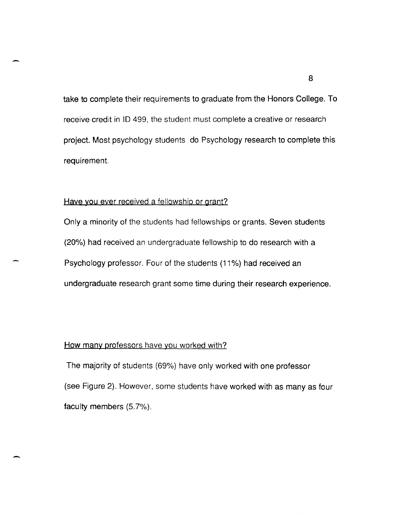take to complete their requirements to graduate from the Honors College. To receive credit in 10499, the student must complete a creative or research project. Most psychology students do Psychology research to complete this requirement.

## Have you ever received a fellowship or grant?

-

-

Only a minority of the students had fellowships or grants. Seven students (20%) had received an undergraduate fellowship to do research with a Psychology professor. Four of the students (11%) had received an undergraduate research grant some time during their research experience.

## How many professors have you worked with?

The majority of students (69%) have only worked with one professor (see Figure 2). However, some students have worked with as many as four faculty members (5.7%).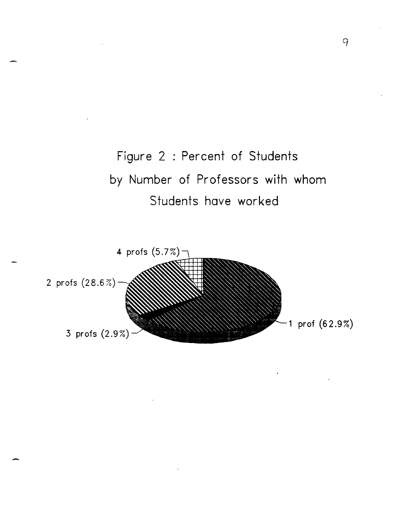



-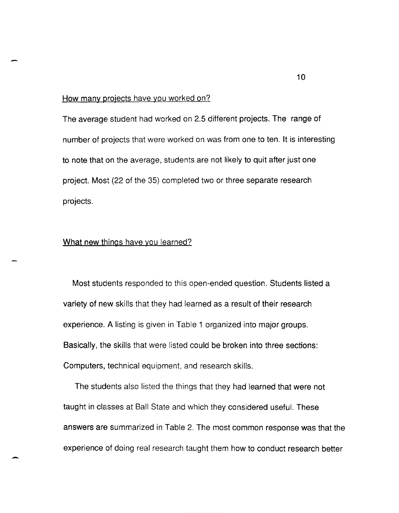### **How** many projects have you worked on?

The average student had worked on 2.5 different projects. The range of number of projects that were worked on was from one to ten. **It** is interesting to note that on the average, students are not likely to quit after just one project. Most (22 of the 35) completed two or three separate research projects.

### What new things have you learned?

-

Most students responded to this open-ended question. Students listed a variety of new skills that they had learned as a result of their research experience. A listing is given in Table 1 organized into major groups. Basically, the skills that were listed could be broken into three sections: Computers, technical equipment, and research skills.

The students also listed the things that they had learned that were not taught in classes at Ball State and which they considered useful. These answers are summarized in Table 2. The most common response was that the experience of doing real research taught them how to conduct research better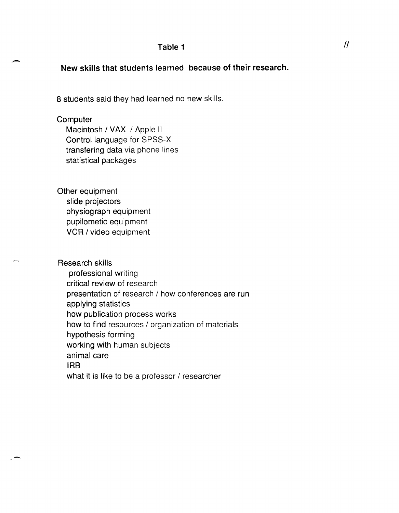## **Table 1**

# **New skills that students learned because of their research.**

8 students said they had learned no new skills.

## **Computer**

-

-

Macintosh / VAX / Apple II Control language for SPSS-X transfering data via phone lines statistical packages

Other equipment slide projectors physiograph equipment pupilometic equipment VCR / video equipment

Research skills professional writing critical review of research presentation of research / how conferences are run applying statistics how publication process works how to find resources / organization of materials hypothesis forming working with human subjects animal care **IRS**  what it is like to be a professor / researcher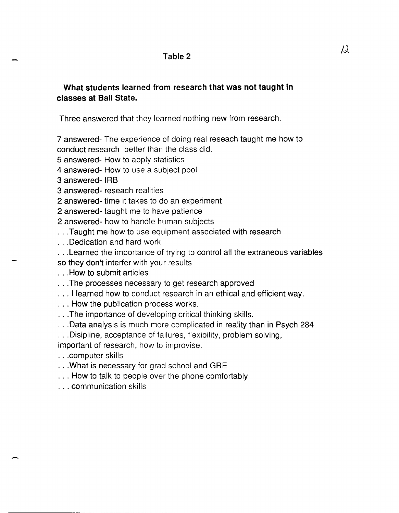# What students learned from research that was not taught in classes at Ball State.

Three answered that they learned nothing new from research.

7 answered- The experience of doing real reseach taught me how to conduct research better than the class did.

- 5 answered- How to apply statistics
- 4 answered- How to use a subject pool

3 answered- IRB

- 3 answered- reseach realities
- 2 answered- time it takes to do an experiment

2 answered- taught me to have patience

2 answered- how to handle human subjects

- ... Taught me how to use equipment associated with research
- · .. Dedication and hard work
- · .. Learned the importance of trying to control all the extraneous variables
- so they don't interfer with your results
- · .. How to submit articles
- · .. The processes necessary to get research approved
- ... I learned how to conduct research in an ethical and efficient way.
- · .. How the publication process works.
- · .. The importance of developing critical thinking skills.
- · .. Data analysis is much more complicated in reality than in Psych 284

· .. Disipline, acceptance of failures, flexibility, problem solving,

important of research, how to improvise.

· .. computer skills

-

- ... What is necessary for grad school and GRE
- · .. How to talk to people over the phone comfortably
- · .. communication skills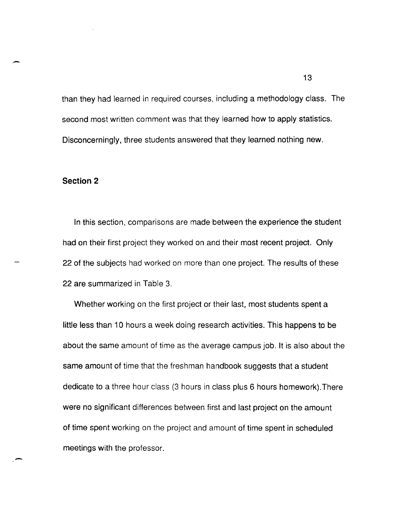than they had learned in required courses, including a methodology class. The second most written comment was that they learned how to apply statistics. Disconcerningly, three students answered that they learned nothing new.

# **Section 2**

-

-

In this section, comparisons are made between the experience the student had on their first project they worked on and their most recent project. Only 22 of the subjects had worked on more than one project. The results of these 22 are summarized in Table 3.

Whether working on the first project or their last, most students spent a little less than 10 hours a week doing research activities. This happens to be about the same amount of time as the average campus job. It is also about the same amount of time that the freshman handbook suggests that a student dedicate to a three hour class (3 hours in class plus 6 hours homework).There were no significant differences between first and last project on the amount of time spent working on the project and amount of time spent in scheduled meetings with the professor.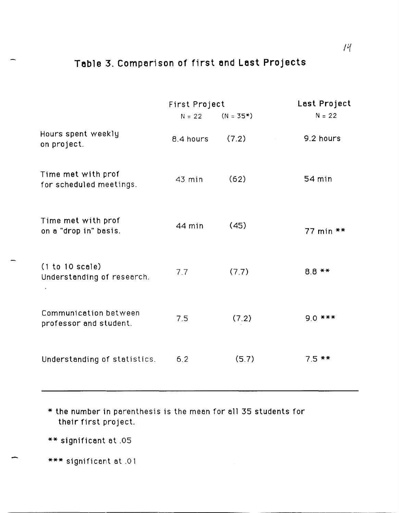# Table 3. Comparison of first and Last Projects

|                                                 | First Project |             | Last Project |
|-------------------------------------------------|---------------|-------------|--------------|
|                                                 | $N = 22$      | $(N = 35*)$ | $N = 22$     |
| Hours spent weekly<br>on project.               | 8.4 hours     | (7.2)       | 9.2 hours    |
| Time met with prof<br>for scheduled meetings.   | 43 min        | (62)        | 54 min       |
| Time met with prof<br>on a "drop in" basis.     | 44 min        | (45)        | 77 min $**$  |
| (1 to 10 scale)<br>Understanding of research.   | 7.7           | (7.7)       | $8.8$ **     |
| Communication between<br>professor and student. | 7.5           | (7.2)       | $9.0$ ***    |
| Understanding of statistics.                    | 6.2           | (5.7)       | $7.5$ **     |

\* the number in perenthesis is the meen for ell 35 students for their first project.

\*\* significent et .05

\*\*\* significant at .01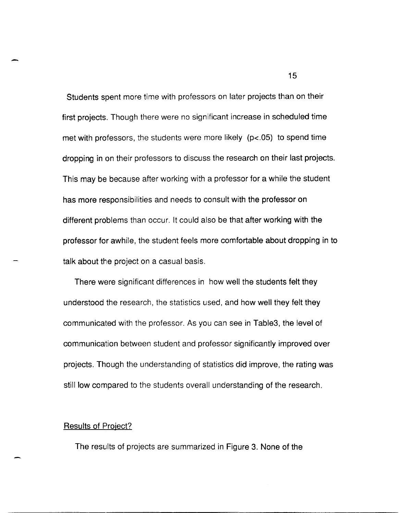Students spent more time with professors on later projects than on their first projects. Though there were no significant increase in scheduled time met with professors, the students were more likely (p<.05) to spend time dropping in on their professors to discuss the research on their last projects. This may be because after working with a professor for a while the student has more responsibilities and needs to consult with the professor on different problems than occur. It could also be that after working with the professor for awhile, the student feels more comfortable about dropping in to talk about the project on a casual basis.

There were significant differences in how well the students felt they understood the research, the statistics used, and how well they felt they communicated with the professor. As you can see in Table3, the level of communication between student and professor significantly improved over projects. Though the understanding of statistics did improve, the rating was still low compared to the students overall understanding of the research.

### **Results of Project?**

The results of projects are summarized in Figure 3. None of the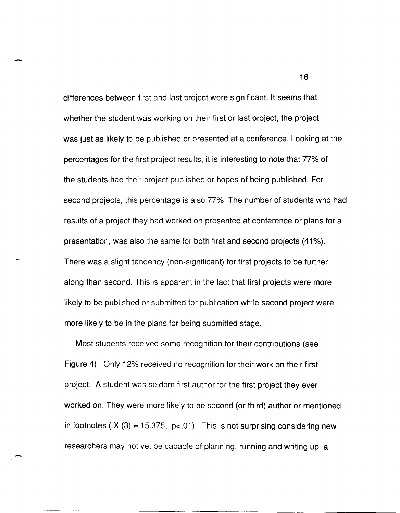differences between first and last project were significant. It seems that whether the student was working on their first or last project, the project was just as likely to be published or presented at a conference. Looking at the percentages for the first project results, it is interesting to note that 77% of the students had their project published or hopes of being published. For second projects, this percentage is also 77%. The number of students who had results of a project they had worked on presented at conference or plans for a presentation, was also the same for both first and second projects (41 %). There was a slight tendency (non-significant) for first projects to be further along than second. This is apparent in the fact that first projects were more likely to be published or submitted for publication while second project were more likely to be in the plans for being submitted stage.

-

Most students received some recognition for their contributions (see Figure 4). Only 12% received no recognition for their work on their first project. A student was seldom first author for the first project they ever worked on. They were more likely to be second (or third) author or mentioned in footnotes ( $X(3) = 15.375$ ,  $p < .01$ ). This is not surprising considering new researchers may not yet be capable of planning, running and writing up a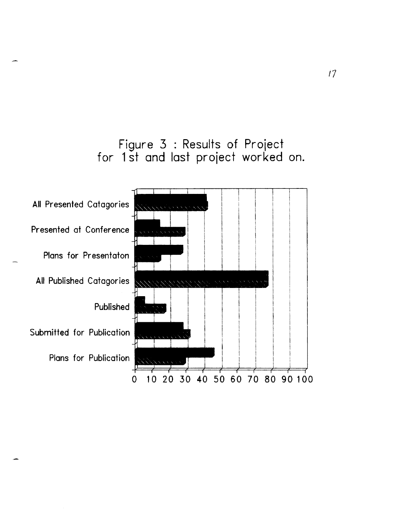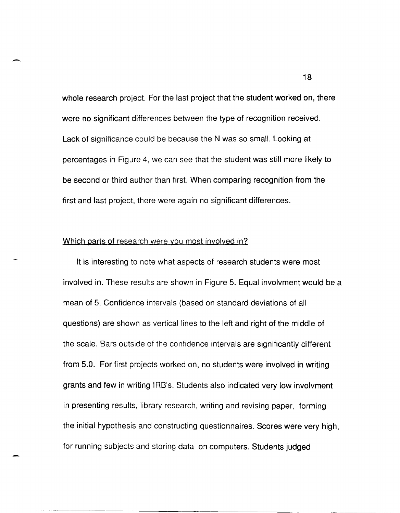whole research project. For the last project that the student worked on, there were no significant differences between the type of recognition received. Lack of significance could be because the N was so small. Looking at percentages in Figure 4, we can see that the student was still more likely to be second or third author than first. When comparing recognition from the first and last project, there were again no significant differences.

### Which parts of research were you most involved in?

-

It is interesting to note what aspects of research students were most involved in. These results are shown in Figure 5. Equal involvment would be a mean of 5. Confidence intervals (based on standard deviations of all questions) are shown as vertical lines to the left and right of the middle of the scale. Bars outside of the confidence intervals are significantly different from 5.0. For first projects worked on, no students were involved in writing grants and few in writing IRB's. Students also indicated very low involvment in presenting results, library research, writing and revising paper, forming the initial hypothesis and constructing questionnaires. Scores were very high, for running subjects and storing data on computers. Students judged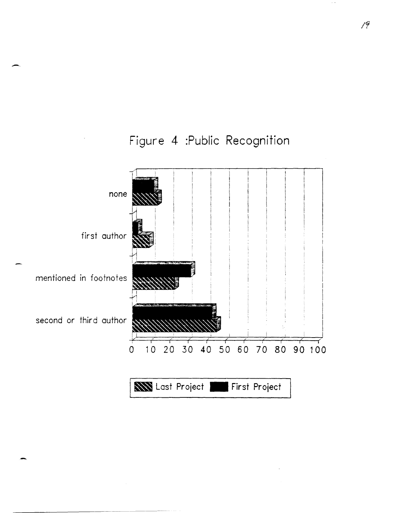

-.

Figure 4 :Public Recognition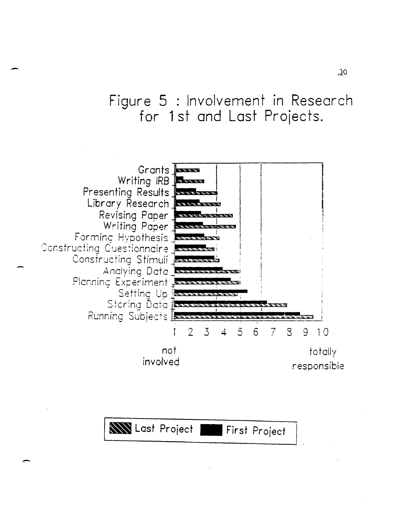# Figure 5 : Involvement in Research for 1 st and Last Projects.



-

-

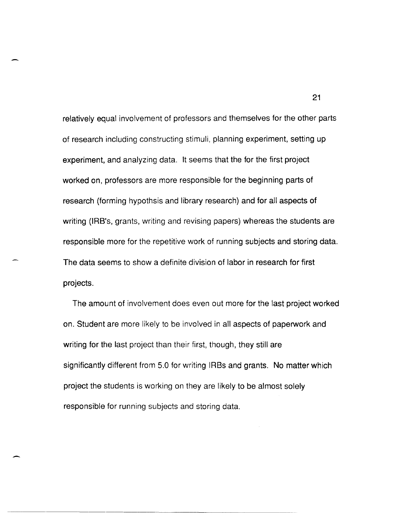relatively equal involvement of professors and themselves for the other parts of research including constructing stimuli, planning experiment, setting up experiment, and analyzing data. It seems that the for the first project worked on, professors are more responsible for the beginning parts of research (forming hypothsis and library research) and for all aspects of writing (IRB's, grants, writing and revising papers) whereas the students are responsible more for the repetitive work of running subjects and storing data. The data seems to show a definite division of labor in research for first projects.

The amount of involvement does even out more for the last project worked on. Student are more likely to be involved in all aspects of paperwork and writing for the last project than their first, though, they still are significantly different from 5.0 for writing IRBs and grants. No matter which project the students is working on they are likely to be almost solely responsible for running subjects and storing data.

-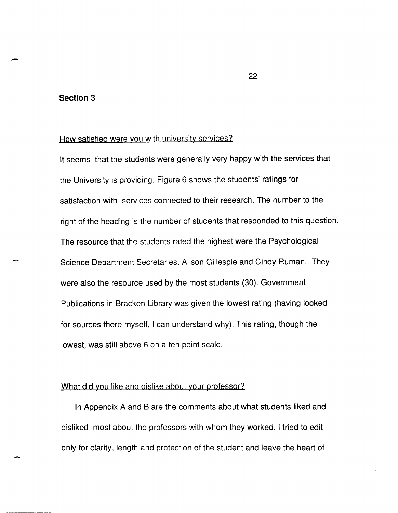# **Section 3**

-

# How satisfied were you with university services?

It seems that the students were generally very happy with the services that the University is providing. Figure 6 shows the students' ratings for satisfaction with services connected to their research. The number to the right of the heading is the number of students that responded to this question. The resource that the students rated the highest were the Psychological Science Department Secretaries, Alison Gillespie and Cindy Ruman. They were also the resource used by the most students (30). Government Publications in Bracken Library was given the lowest rating (having looked for sources there myself, I can understand why). This rating, though the lowest, was still above 6 on a ten point scale.

### What did you like and dislike about your professor?

In Appendix A and B are the comments about what students liked and disliked most about the professors with whom they worked. I tried to edit only for clarity, length and protection of the student and leave the heart of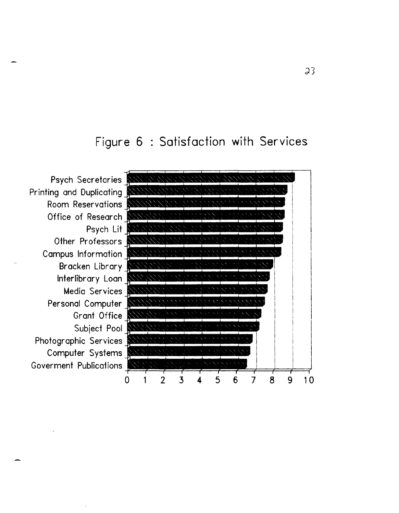# Figure 6 : Satisfaction with Services



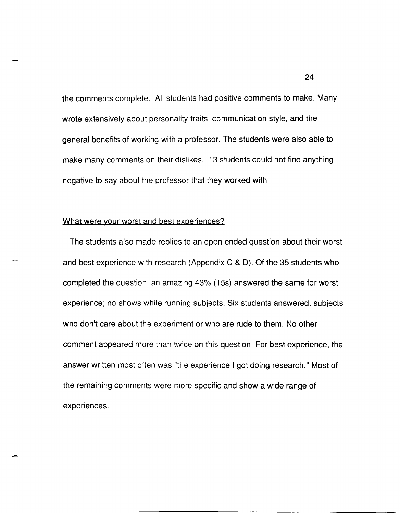the comments complete. All students had positive comments to make. Many wrote extensively about personality traits, communication style, and the general benefits of working with a professor. The students were also able to make many comments on their dislikes. 13 students could not find anything negative to say about the professor that they worked with.

### What were your worst and best experiences?

The students also made replies to an open ended question about their worst and best experience with research (Appendix C & D). Of the 35 students who completed the question, an amazing 43% (15s) answered the same for worst experience; no shows while running subjects. Six students answered, subjects who don't care about the experiment or who are rude to them. No other comment appeared more than twice on this question. For best experience, the answer written most often was "the experience I got doing research." Most of the remaining comments were more specific and show a wide range of experiences.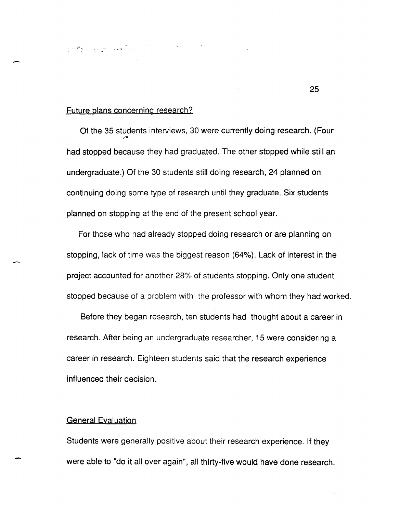$\mathcal{L} \circ \mathcal{L}_\mathbf{N}$  ,  $\mathcal{L}_\mathbf{N} \circ \mathcal{L}_\mathbf{N}$  ,  $\mathcal{L}_\mathbf{N} \circ \mathcal{L}_\mathbf{N}$ 

### Future plans concerning research?

-

Of the 35 students interviews, 30 were currently doing research. (Four had stopped because they had graduated. The other stopped while still an undergraduate.) Of the 30 students still doing research, 24 planned on continuing doing some type of research until they graduate. Six students planned on stopping at the end of the present school year.

For those who had already stopped doing research or are planning on stopping, lack of time was the biggest reason (64%). Lack of interest in the project accounted for another 28% of students stopping. Only one student stopped because of a problem with the professor with whom they had worked.

Before they began research, ten students had thought about a career in research. After being an undergraduate researcher, 15 were considering a career in research. Eighteen students said that the research experience influenced their decision.

### **General Evaluation**

Students were generally positive about their research experience. If they were able to "do it all over again", all thirty-five would have done research.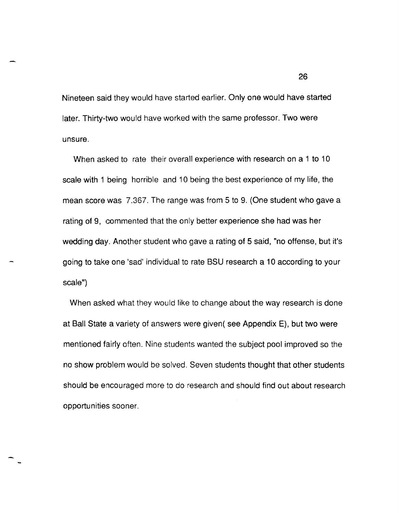Nineteen said they would have started earlier. Only one would have started later. Thirty-two would have worked with the same professor. Two were unsure.

When asked to rate their overall experience with research on a 1 to 10 scale with 1 being horrible and 10 being the best experience of my life, the mean score was 7.367. The range was from 5 to 9. (One student who gave a rating of 9, commented that the only better experience she had was her wedding day. Another student who gave a rating of 5 said, "no offense, but it's going to take one 'sad' individual to rate BSU research a 10 according to your scale")

When asked what they would like to change about the way research is done at Ball State a variety of answers were given( see Appendix E), but two were mentioned fairly often. Nine students wanted the subject pool improved so the no show problem would be solved. Seven students thought that other students should be encouraged more to do research and should find out about research opportunities sooner.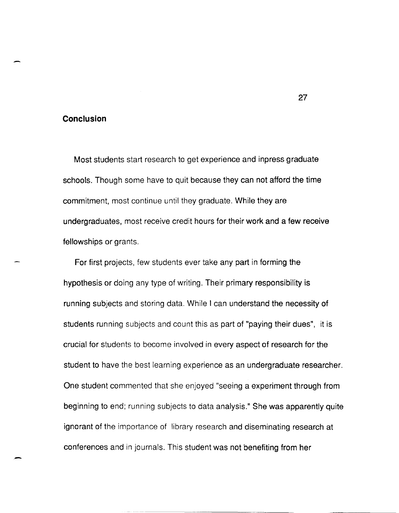### **Conclusion**

-

Most students start research to get experience and inpress graduate schools. Though some have to quit because they can not afford the time commitment, most continue until they graduate. While they are undergraduates, most receive credit hours for their work and a few receive fellowships or grants.

For first projects, few students ever take any part in forming the hypothesis or doing any type of writing. Their primary responsibility is running subjects and storing data. While I can understand the necessity of students running subjects and count this as part of "paying their dues", it is crucial for students to become involved in every aspect of research for the student to have the best learning experience as an undergraduate researcher. One student commented that she enjoyed "seeing a experiment through from beginning to end; running subjects to data analysis." She was apparently quite ignorant of the importance of library research and diseminating research at conferences and in journals. This student was not benefiting from her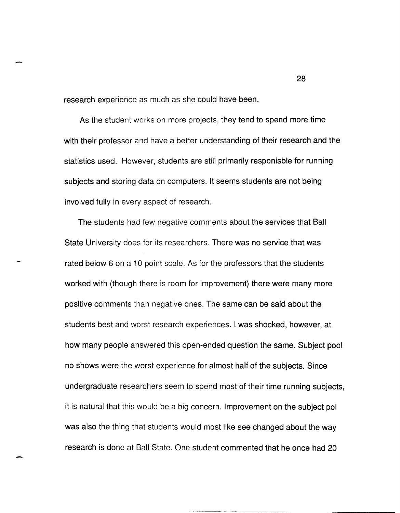research experience as much as she could have been.

As the student works on more projects, they tend to spend more time with their professor and have a better understanding of their research and the statistics used. However, students are still primarily responisble for running subjects and storing data on computers. It seems students are not being involved fully in every aspect of research.

The students had few negative comments about the services that Ball State University does for its researchers. There was no service that was rated below 6 on a 10 point scale. As for the professors that the students worked with (though there is room for improvement) there were many more positive comments than negative ones. The same can be said about the students best and worst research experiences. I was shocked, however, at how many people answered this open-ended question the same. Subject pool no shows were the worst experience for almost half of the subjects. Since undergraduate researchers seem to spend most of their time running subjects, it is natural that this would be a big concern. Improvement on the subject pol was also the thing that students would most like see changed about the way research is done at Ball State. One student commented that he once had 20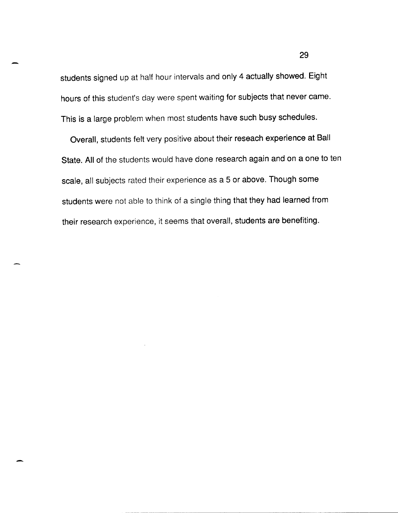students signed up at half hour intervals and only 4 actually showed. Eight hours of this student's day were spent waiting for subjects that never came. This is a large problem when most students have such busy schedules.

Overall, students felt very positive about their reseach experience at Ball State. All of the students would have done research again and on a one to ten scale, all subjects rated their experience as a 5 or above. Though some students were not able to think of a single thing that they had learned from their research experience, it seems that overall, students are benefiting.

-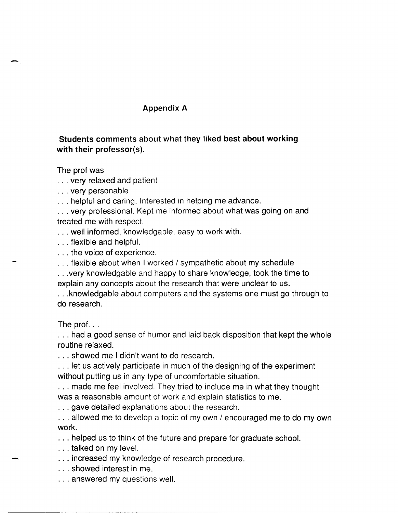# Appendix A

# Students comments about what they liked best about working with their professor(s).

The prof was

· .. very relaxed and patient

· .. very personable

· .. helpful and caring. Interested in helping me advance.

... very professional. Kept me informed about what was going on and treated me with respect.

· .. well informed, knowledgable, easy to work with.

· .. flexible and helpful.

· .. the voice of experience.

· .. flexible about when I worked / sympathetic about my schedule

· . . very knowledgable and happy to share knowledge, took the time to explain any concepts about the research that were unclear to us.

· .. knowledgable about computers and the systems one must go through to do research.

The prof...

... had a good sense of humor and laid back disposition that kept the whole routine relaxed.

· .. showed me I didn't want to do research.

... let us actively participate in much of the designing of the experiment without putting us in any type of uncomfortable situation.

... made me feel involved. They tried to include me in what they thought was a reasonable amount of work and explain statistics to me.

· .. gave detailed explanations about the research.

... allowed me to develop a topic of my own / encouraged me to do my own work.

· .. helped us to think of the future and prepare for graduate school.

· .. talked on my level.

-

· .. increased my knowledge of research procedure.

· .. showed interest in me.

· .. answered my questions well.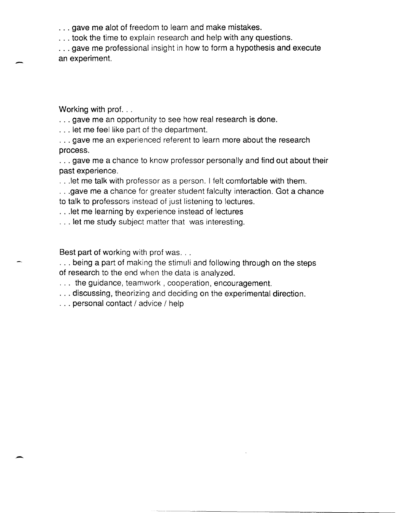· .. gave me alot of freedom to learn and make mistakes.

... took the time to explain research and help with any questions.

... gave me professional insight in how to form a hypothesis and execute an experiment:.

Working with prof...

-

-

... gave me an opportunity to see how real research is done.

· .. let me feel like part of the department.

... gave me an experienced referent to learn more about the research process.

· .. gave me a chance to know professor personally and find out about their past experience.

· .. Iet me talk with professor as a person. I felt comfortable with them.

· .. gave me a chance for greater student falculty interaction. Got a chance

to talk to professors instead of just listening to lectures.

· .. Iet me learning by experience instead of lectures

· .. let me study subject matter that was interesting.

Best part of working with prof was...

· .. being a part of making the stimuli and following through on the steps of research to the end when the data is analyzed.

... the guidance, teamwork, cooperation, encouragement.

... discussing, theorizing and deciding on the experimental direction.

· .. personal contact / advice / help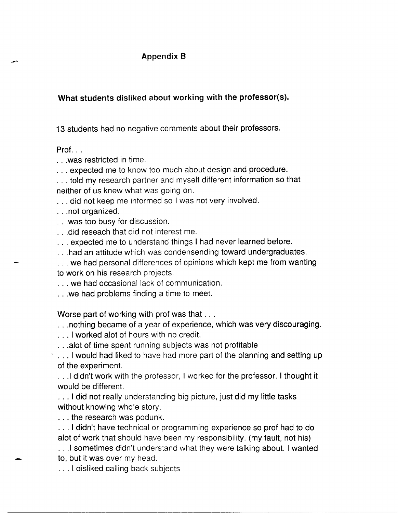# Appendix B

What students disliked about working with the professor{s).

13 students had no negative comments about their professors.

 $Prot.$ ...

· .. was restricted in time.

· .. expected me to know too much about design and procedure.

· .. told my research partner and myself different information so that neither of us knew what was going on.

... did not keep me informed so I was not very involved.

· .. not organized.

· .. was too busy for discussion.

· .. did reseach that did not interest me.

· .. expected me to understand things I had never learned before.

... had an attitude which was condensending toward undergraduates.

... we had personal differences of opinions which kept me from wanting to work on his research projects.

· .. we had occasional lack of communication.

· .. we had problems finding a time to meet.

Worse part of working with prof was that ...

... nothing became of a year of experience, which was very discouraging.

· .. I worked alot of hours with no credit.

· .. alot of time spent running subjects was not profitable

... I would had liked to have had more part of the planning and setting up of the experiment.

· .. 1 didn't work with the professor, I worked for the professor. I thought it would be different.

... I did not really understanding big picture, just did my little tasks without knowing whole story.

· .. the research was podunk.

· .. I didn't have technical or programming experience so prof had to do alot of work that should have been my responsibility. (my fault, not his)

... I sometimes didn't understand what they were talking about. I wanted to, but it was over my head.

· .. I disliked calling back subjects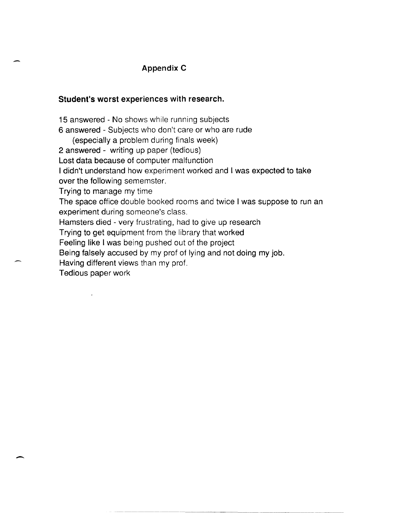# **Appendix C**

## **Student's worst experiences with research.**

-

15 answered - No shows while running subjects 6 answered - Subjects who don't care or who are rude (especially a problem during finals week) 2 answered - writing up paper (tedious) Lost data because of computer malfunction I didn't understand how experiment worked and I was expected to take over the following sememster. Trying to manage my time The space office double booked rooms and twice I was suppose to run an experiment during someone's class. Hamsters died - very frustrating, had to give up research Trying to get equipment from the library that worked Feeling like I was being pushed out of the project Being falsely accused by my prof of lying and not doing my job. Having different views than my prof. Tedious paper work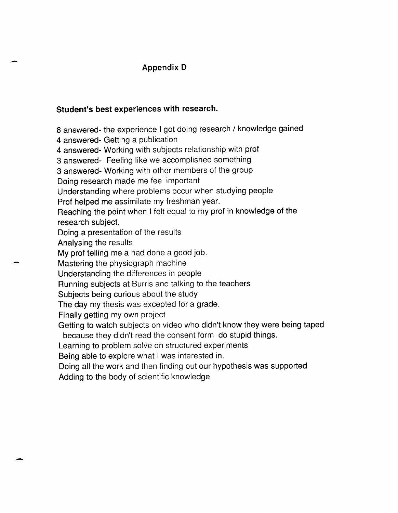# **Appendix D**

# **Student's best experiences with research.**

6 answered- the experience I got doing research / knowledge gained

4 answered- Getting a publication

4 answered- Working with subjects relationship with prof

3 answered- Feeling like we accomplished something

3 answered- 'Norking with other members of the group

Doing research made me feel important

Understanding where problems occur when studying people

Prof helped me assimilate my freshman year.

Reaching the point when I felt equal to my prof in knowledge of the research subject.

Doing a presentation of the results

Analysing the results

-

My prof telling me a had done a good job.

Mastering the physiograph machine

Understanding the differences in people

Running subjects at Burris and talking to the teachers

Subjects being curious about the study

The day my thesis was excepted for a grade.

Finally getting my own project

Getting to watch subjects on video who didn't know they were being taped because they didn't read the consent form do stupid things.

Learning to problem solve on structured experiments

Being able to explore what I was interested in.

Doing all the work and then finding out our hypothesis was supported

Adding to the body of scientific knowledge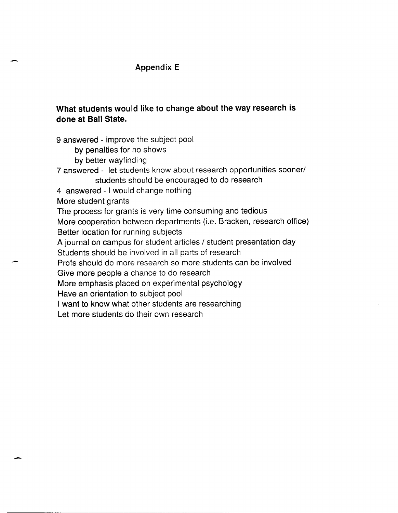# Appendix E

# What students would like to change about the way research is done at Ball State.

9 answered - improve the subject pool

by penalties for no shows

- by better wayfinding
- 7 answered let students know about research opportunities sooner/ students should be encouraged to do research
- 4 answered I would change nothing

More student grants

-

--

The process for grants is very time consuming and tedious

More cooperation between departments (i.e. Bracken, research office) Better location for running subjects

A journal on campus for student articles / student presentation day

Students should be involved in all parts of research

Profs should do more research so more students can be involved

Give more people a chance to do research

More emphasis placed on experimental psychology

Have an orientation to subject pool

I want to know what other students are researching

Let more students do their own research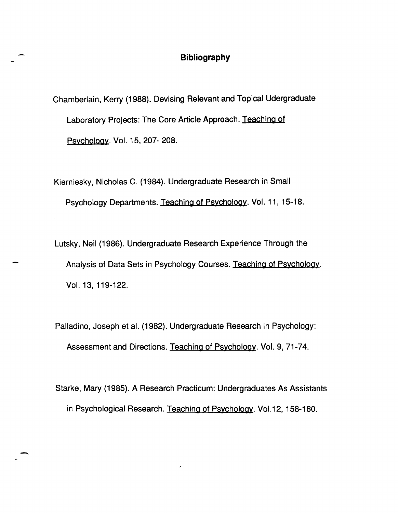# **Bibliography**

Chamberlain, Kerry (1988). Devising Relevant and Topical Udergraduate Laboratory Projects: The Core Article Approach. Teaching of Psychology. Vol. 15, 207- 208.

Kierniesky, Nicholas C. (1984). Undergraduate Research in Small Psychology Departments. Teaching of Psychology. Vol. 11, 15-18.

Lutsky, Neil (1986). Undergraduate Research Experience Through the Analysis of Data Sets in Psychology Courses. Teaching of Psychology. Vol. 13, 119-122.

Palladino, Joseph et al. (1982). Undergraduate Research in Psychology: Assessment and Directions. Teaching of Psychology. Vol. 9, 71-74.

Starke, Mary (1985). A Research Practicum: Undergraduates As Assistants in Psychological Research. Teaching of Psychology. Vo1.12, 158-160.

-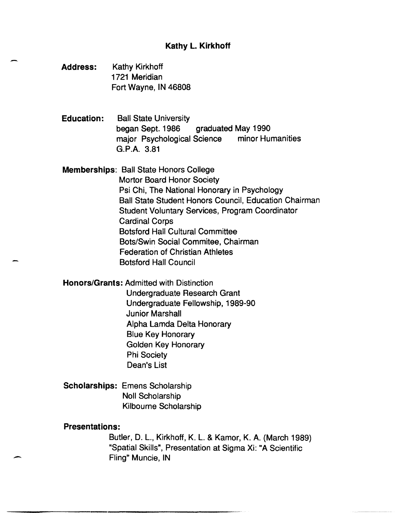# Kathy L. Kirkhoff

Address: Kathy Kirkhoff 1721 Meridian Fort Wayne, IN 46808

-

Education: Ball State University began Sept. 1986 graduated May 1990 major Psychological Science minor Humanities G.P.A. 3.81

Memberships: Ball State Honors College Mortor Board Honor Society Psi Chi, The National Honorary in Psychology Ball State Student Honors Council, Education Chairman Student Voluntary Services, Program Coordinator Cardinal Corps Botsford Hall Cultural Committee Bots/Swin Social Commitee, Chairman Federation of Christian Athletes Botsford Hall Council

Honors/Grants: Admitted with Distinction

Undergraduate Research Grant Undergraduate Fellowship, 1989-90 Junior Marshall Alpha Lamda Delta Honorary Blue Key Honorary Golden Key Honorary Phi Society Dean's List

Scholarships: Emens Scholarship Noll Scholarship Kilbourne Scholarship

## Presentations:

-

Butler, D. L., Kirkhoff, K. L. & Kamor, K. A. (March 1989) "Spatial Skills", Presentation at Sigma Xi: "A Scientific Fling" Muncie, IN